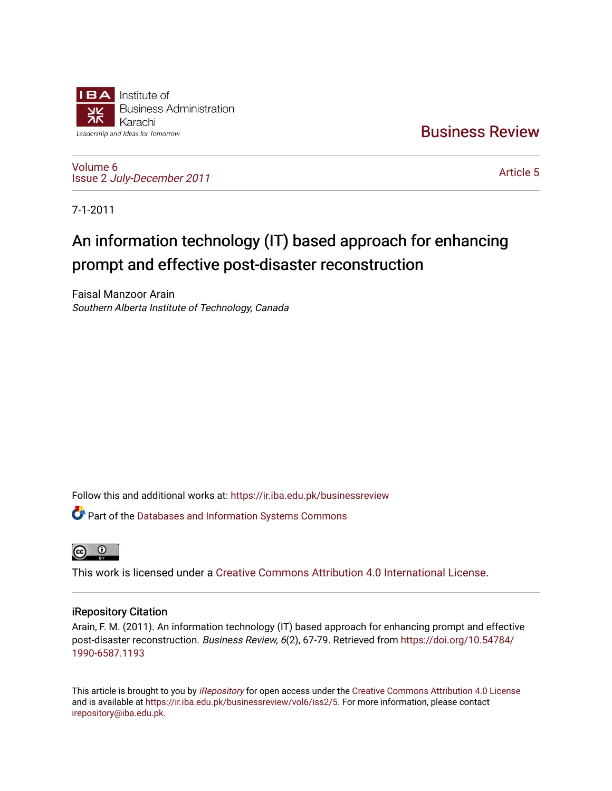

[Business Review](https://ir.iba.edu.pk/businessreview) 

[Volume 6](https://ir.iba.edu.pk/businessreview/vol6) Issue 2 [July-December 2011](https://ir.iba.edu.pk/businessreview/vol6/iss2)

[Article 5](https://ir.iba.edu.pk/businessreview/vol6/iss2/5) 

7-1-2011

# An information technology (IT) based approach for enhancing prompt and effective post-disaster reconstruction

Faisal Manzoor Arain Southern Alberta Institute of Technology, Canada

Follow this and additional works at: [https://ir.iba.edu.pk/businessreview](https://ir.iba.edu.pk/businessreview?utm_source=ir.iba.edu.pk%2Fbusinessreview%2Fvol6%2Fiss2%2F5&utm_medium=PDF&utm_campaign=PDFCoverPages) 

Part of the [Databases and Information Systems Commons](http://network.bepress.com/hgg/discipline/145?utm_source=ir.iba.edu.pk%2Fbusinessreview%2Fvol6%2Fiss2%2F5&utm_medium=PDF&utm_campaign=PDFCoverPages)



This work is licensed under a [Creative Commons Attribution 4.0 International License](https://creativecommons.org/licenses/by/4.0/).

## iRepository Citation

Arain, F. M. (2011). An information technology (IT) based approach for enhancing prompt and effective post-disaster reconstruction. Business Review, 6(2), 67-79. Retrieved from [https://doi.org/10.54784/](https://doi.org/10.54784/1990-6587.1193) [1990-6587.1193](https://doi.org/10.54784/1990-6587.1193) 

This article is brought to you by [iRepository](https://ir.iba.edu.pk/) for open access under the Creative Commons Attribution 4.0 License and is available at [https://ir.iba.edu.pk/businessreview/vol6/iss2/5.](https://ir.iba.edu.pk/businessreview/vol6/iss2/5) For more information, please contact [irepository@iba.edu.pk.](mailto:irepository@iba.edu.pk)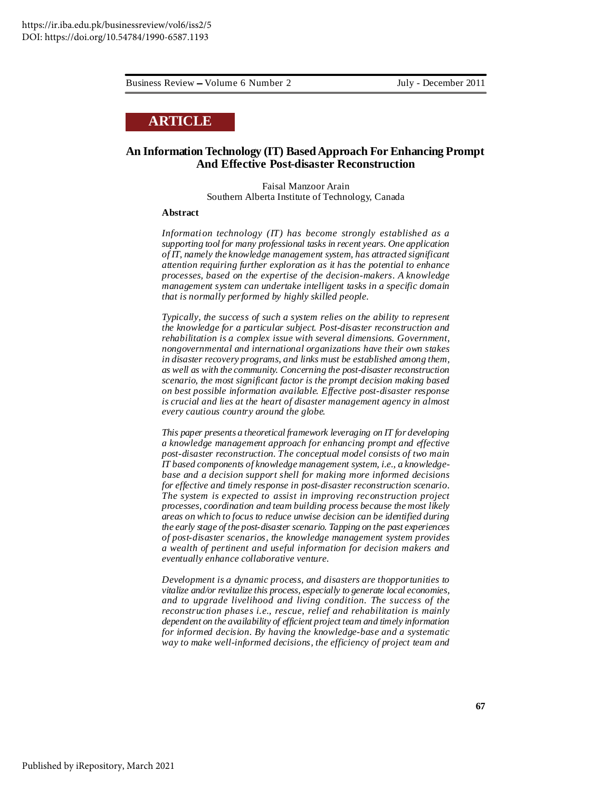# **ARTICLE**

### **An Information Technology (IT) BasedApproach For Enhancing Prompt And Effective Post-disaster Reconstruction**

Faisal Manzoor Arain Southern Alberta Institute of Technology, Canada

#### **Abstract**

*Information technology (IT) has become strongly established as a supporting tool for many professional tasks in recent years. One application of IT, namely the knowledge management system, has attracted significant attention requiring further exploration as it has the potential to enhance processes, based on the expertise of the decision-makers. A knowledge management system can undertake intelligent tasks in a specific domain that is normally performed by highly skilled people.*

*Typically, the success of such a system relies on the ability to represent the knowledge for a particular subject. Post-disaster reconstruction and rehabilitation is a complex issue with several dimensions. Government, nongovernmental and international organizations have their own stakes in disaster recovery programs, and links must be established among them, as well as with the community. Concerning the post-disaster reconstruction scenario, the most significant factor is the prompt decision making based on best possible information available. Effective post-disaster response is crucial and lies at the heart of disaster management agency in almost every cautious country around the globe.*

*This paper presents a theoretical framework leveraging on IT for developing a knowledge management approach for enhancing prompt and effective post-disaster reconstruction. The conceptual model consists of two main IT based components of knowledge management system, i.e., a knowledgebase and a decision support shell for making more informed decisions for effective and timely response in post-disaster reconstruction scenario. The system is expected to assist in improving reconstruction project processes, coordination and team building process because the most likely areas on which to focus to reduce unwise decision can be identified during the early stage of the post-disaster scenario. Tapping on the past experiences of post-disaster scenarios, the knowledge management system provides a wealth of pertinent and useful information for decision makers and eventually enhance collaborative venture.*

*Development is a dynamic process, and disasters are thopportunities to vitalize and/or revitalize this process, especially to generate local economies, and to upgrade livelihood and living condition. The success of the reconstruction phases i.e., rescue, relief and rehabilitation is mainly dependent on the availability of efficient project team and timely information for informed decision. By having the knowledge-base and a systematic way to make well-informed decisions, the efficiency of project team and*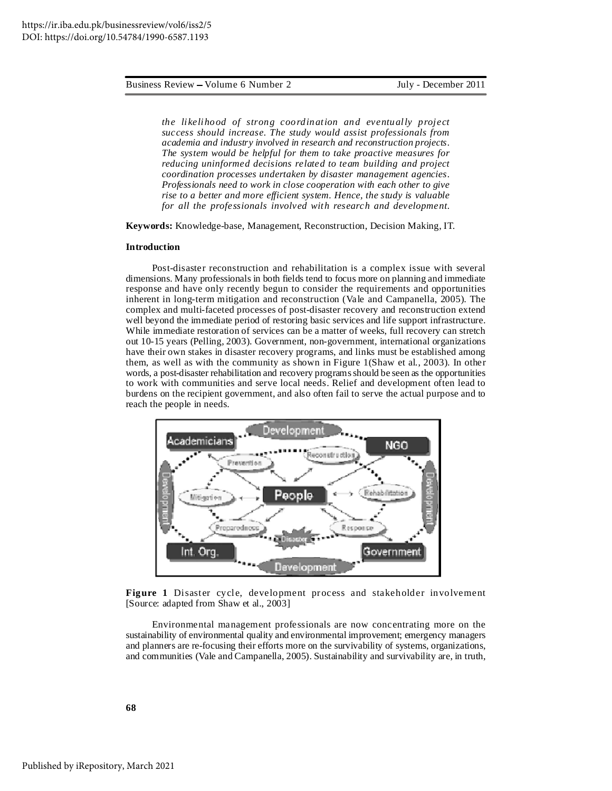*the likelihood of strong coordination and eventually project success should increase. The study would assist professionals from academia and industry involved in research and reconstruction projects. The system would be helpful for them to take proactive measures for reducing uninformed decisions related to team building and project coordination processes undertaken by disaster management agencies. Professionals need to work in close cooperation with each other to give rise to a better and more efficient system. Hence, the study is valuable for all the professionals involved with research and development.*

**Keywords:** Knowledge-base, Management, Reconstruction, Decision Making, IT.

#### **Introduction**

Post-disaster reconstruction and rehabilitation is a complex issue with several dimensions. Many professionals in both fields tend to focus more on planning and immediate response and have only recently begun to consider the requirements and opportunities inherent in long-term mitigation and reconstruction (Vale and Campanella, 2005). The complex and multi-faceted processes of post-disaster recovery and reconstruction extend well beyond the immediate period of restoring basic services and life support infrastructure. While immediate restoration of services can be a matter of weeks, full recovery can stretch out 10-15 years (Pelling, 2003). Government, non-government, international organizations have their own stakes in disaster recovery programs, and links must be established among them, as well as with the community as shown in Figure 1(Shaw et al., 2003). In other words, a post-disaster rehabilitation and recovery programsshould be seen as the opportunities to work with communities and serve local needs. Relief and development often lead to burdens on the recipient government, and also often fail to serve the actual purpose and to reach the people in needs.



Figure 1 Disaster cycle, development process and stakeholder involvement [Source: adapted from Shaw et al., 2003]

Environmental management professionals are now concentrating more on the sustainability of environmental quality and environmental improvement; emergency managers and planners are re-focusing their efforts more on the survivability of systems, organizations, and communities (Vale and Campanella, 2005). Sustainability and survivability are, in truth,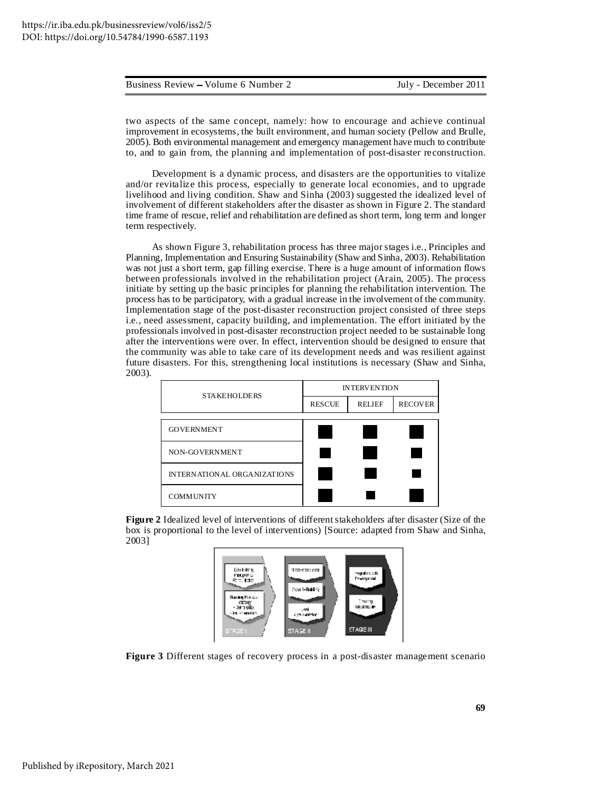| Business Review – Volume 6 Number 2 | July - December 2011 |
|-------------------------------------|----------------------|
|                                     |                      |

two aspects of the same concept, namely: how to encourage and achieve continual improvement in ecosystems, the built environment, and human society (Pellow and Brulle, 2005). Both environmental management and emergency management have much to contribute to, and to gain from, the planning and implementation of post-disaster reconstruction.

Development is a dynamic process, and disasters are the opportunities to vitalize and/or revitalize this process, especially to generate local economies, and to upgrade livelihood and living condition. Shaw and Sinha (2003) suggested the idealized level of involvement of different stakeholders after the disaster as shown in Figure 2. The standard time frame of rescue, relief and rehabilitation are defined as short term, long term and longer term respectively.

As shown Figure 3, rehabilitation process has three major stages i.e., Principles and Planning, Implementation and Ensuring Sustainability (Shaw and Sinha, 2003). Rehabilitation was not just a short term, gap filling exercise. There is a huge amount of information flows between professionals involved in the rehabilitation project (Arain, 2005). The process initiate by setting up the basic principles for planning the rehabilitation intervention. The process has to be participatory, with a gradual increase in the involvement of the community. Implementation stage of the post-disaster reconstruction project consisted of three steps i.e., need assessment, capacity building, and implementation. The effort initiated by the professionals involved in post-disaster reconstruction project needed to be sustainable long after the interventions were over. In effect, intervention should be designed to ensure that the community was able to take care of its development needs and was resilient against future disasters. For this, strengthening local institutions is necessary (Shaw and Sinha, 2003).

| <b>STAKEHOLDERS</b>                |               | <b>INTERVENTION</b> |                |
|------------------------------------|---------------|---------------------|----------------|
|                                    | <b>RESCUE</b> | <b>RELIEF</b>       | <b>RECOVER</b> |
|                                    |               |                     |                |
| <b>GOVERNMENT</b>                  |               |                     |                |
| NON-GOVERNMENT                     |               |                     |                |
| <b>INTERNATIONAL ORGANIZATIONS</b> |               |                     |                |
| <b>COMMUNITY</b>                   |               |                     |                |

**Figure 2** Idealized level of interventions of differentstakeholders after disaster (Size of the box is proportional to the level of interventions) [Source: adapted from Shaw and Sinha, 2003]



**Figure 3** Different stages of recovery process in a post-disaster management scenario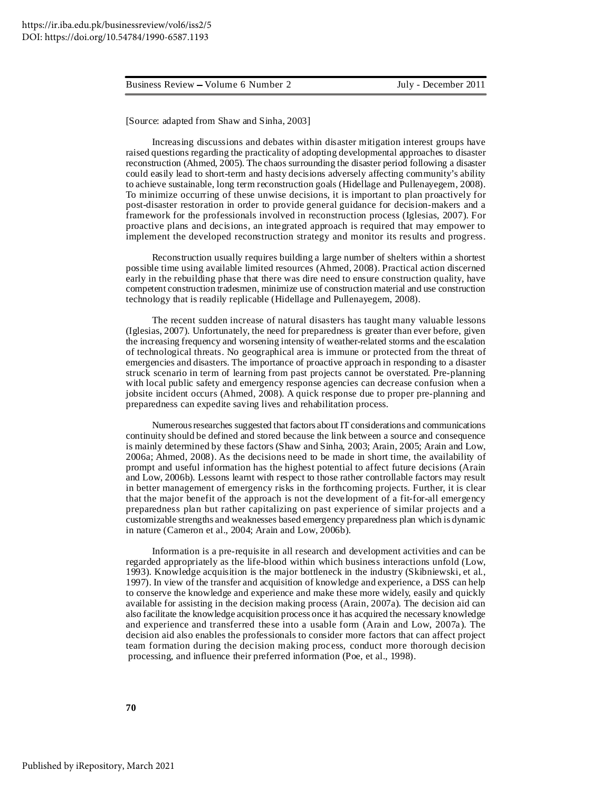[Source: adapted from Shaw and Sinha, 2003]

Increasing discussions and debates within disaster mitigation interest groups have raised questions regarding the practicality of adopting developmental approaches to disaster reconstruction (Ahmed, 2005). The chaos surrounding the disaster period following a disaster could easily lead to short-term and hasty decisions adversely affecting community's ability to achieve sustainable, long term reconstruction goals (Hidellage and Pullenayegem, 2008). To minimize occurring of these unwise decisions, it is important to plan proactively for post-disaster restoration in order to provide general guidance for decision-makers and a framework for the professionals involved in reconstruction process (Iglesias, 2007). For proactive plans and decisions, an integrated approach is required that may empower to implement the developed reconstruction strategy and monitor its results and progress.

Reconstruction usually requires building a large number of shelters within a shortest possible time using available limited resources (Ahmed, 2008). Practical action discerned early in the rebuilding phase that there was dire need to ensure construction quality, have competent construction tradesmen, minimize use of construction material and use construction technology that is readily replicable (Hidellage and Pullenayegem, 2008).

The recent sudden increase of natural disasters has taught many valuable lessons (Iglesias, 2007). Unfortunately, the need for preparedness is greater than ever before, given the increasing frequency and worsening intensity of weather-related storms and the escalation of technological threats. No geographical area is immune or protected from the threat of emergencies and disasters. The importance of proactive approach in responding to a disaster struck scenario in term of learning from past projects cannot be overstated. Pre-planning with local public safety and emergency response agencies can decrease confusion when a jobsite incident occurs (Ahmed, 2008). A quick response due to proper pre-planning and preparedness can expedite saving lives and rehabilitation process.

Numerous researches suggested that factors about IT considerations and communications continuity should be defined and stored because the link between a source and consequence is mainly determined by these factors (Shaw and Sinha, 2003; Arain, 2005; Arain and Low, 2006a; Ahmed, 2008). As the decisions need to be made in short time, the availability of prompt and useful information has the highest potential to affect future decisions (Arain and Low, 2006b). Lessons learnt with respect to those rather controllable factors may result in better management of emergency risks in the forthcoming projects. Further, it is clear that the major benefit of the approach is not the development of a fit-for-all emergency preparedness plan but rather capitalizing on past experience of similar projects and a customizable strengths and weaknesses based emergency preparedness plan which is dynamic in nature (Cameron et al., 2004; Arain and Low, 2006b).

Information is a pre-requisite in all research and development activities and can be regarded appropriately as the life-blood within which business interactions unfold (Low, 1993). Knowledge acquisition is the major bottleneck in the industry (Skibniewski, et al., 1997). In view of the transfer and acquisition of knowledge and experience, a DSS can help to conserve the knowledge and experience and make these more widely, easily and quickly available for assisting in the decision making process (Arain, 2007a). The decision aid can also facilitate the knowledge acquisition process once it has acquired the necessary knowledge and experience and transferred these into a usable form (Arain and Low, 2007a). The decision aid also enables the professionals to consider more factors that can affect project team formation during the decision making process, conduct more thorough decision processing, and influence their preferred information (Poe, et al., 1998).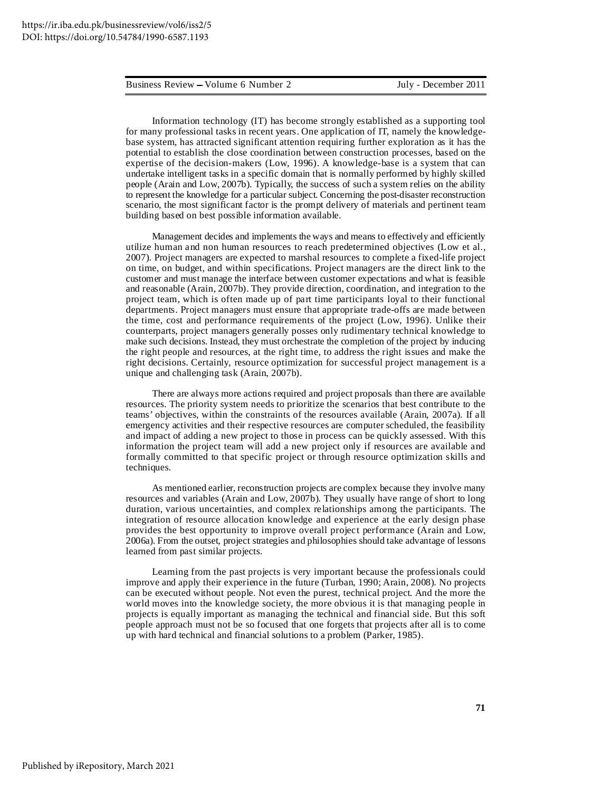Information technology (IT) has become strongly established as a supporting tool for many professional tasks in recent years. One application of IT, namely the knowledgebase system, has attracted significant attention requiring further exploration as it has the potential to establish the close coordination between construction processes, based on the expertise of the decision-makers (Low, 1996). A knowledge-base is a system that can undertake intelligent tasks in a specific domain that is normally performed by highly skilled people (Arain and Low, 2007b). Typically, the success of such a system relies on the ability to represent the knowledge for a particular subject. Concerning the post-disaster reconstruction scenario, the most significant factor is the prompt delivery of materials and pertinent team building based on best possible information available.

Management decides and implements the ways and means to effectively and efficiently utilize human and non human resources to reach predetermined objectives (Low et al., 2007). Project managers are expected to marshal resources to complete a fixed-life project on time, on budget, and within specifications. Project managers are the direct link to the customer and must manage the interface between customer expectations and what is feasible and reasonable (Arain, 2007b). They provide direction, coordination, and integration to the project team, which is often made up of part time participants loyal to their functional departments. Project managers must ensure that appropriate trade-offs are made between the time, cost and performance requirements of the project (Low, 1996). Unlike their counterparts, project managers generally posses only rudimentary technical knowledge to make such decisions. Instead, they must orchestrate the completion of the project by inducing the right people and resources, at the right time, to address the right issues and make the right decisions. Certainly, resource optimization for successful project management is a unique and challenging task (Arain, 2007b).

There are always more actions required and project proposals than there are available resources. The priority system needs to prioritize the scenarios that best contribute to the teams' objectives, within the constraints of the resources available (Arain, 2007a). If all emergency activities and their respective resources are computer scheduled, the feasibility and impact of adding a new project to those in process can be quickly assessed. With this information the project team will add a new project only if resources are available and formally committed to that specific project or through resource optimization skills and techniques.

As mentioned earlier, reconstruction projects are complex because they involve many resources and variables (Arain and Low, 2007b). They usually have range of short to long duration, various uncertainties, and complex relationships among the participants. The integration of resource allocation knowledge and experience at the early design phase provides the best opportunity to improve overall project performance (Arain and Low, 2006a). From the outset, project strategies and philosophies should take advantage of lessons learned from past similar projects.

Learning from the past projects is very important because the professionals could improve and apply their experience in the future (Turban, 1990; Arain, 2008). No projects can be executed without people. Not even the purest, technical project. And the more the world moves into the knowledge society, the more obvious it is that managing people in projects is equally important as managing the technical and financial side. But this soft people approach must not be so focused that one forgets that projects after all is to come up with hard technical and financial solutions to a problem (Parker, 1985).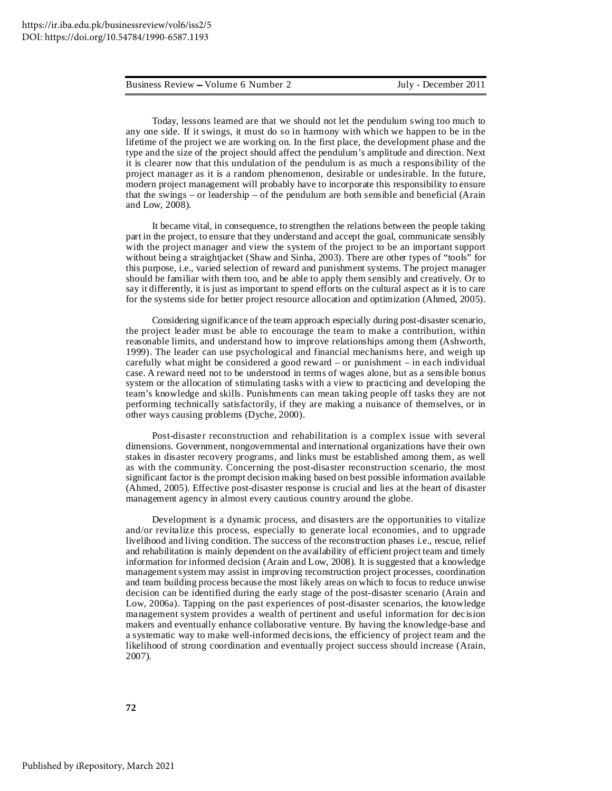Today, lessons learned are that we should not let the pendulum swing too much to any one side. If it swings, it must do so in harmony with which we happen to be in the lifetime of the project we are working on. In the first place, the development phase and the type and the size of the project should affect the pendulum's amplitude and direction. Next it is clearer now that this undulation of the pendulum is as much a responsibility of the project manager as it is a random phenomenon, desirable or undesirable. In the future, modern project management will probably have to incorporate this responsibility to ensure that the swings – or leadership – of the pendulum are both sensible and beneficial (Arain and Low, 2008).

It became vital, in consequence, to strengthen the relations between the people taking part in the project, to ensure that they understand and accept the goal, communicate sensibly with the project manager and view the system of the project to be an important support without being a straightjacket (Shaw and Sinha, 2003). There are other types of "tools" for this purpose, i.e., varied selection of reward and punishment systems. The project manager should be familiar with them too, and be able to apply them sensibly and creatively. Or to say it differently, it is just as important to spend efforts on the cultural aspect as it is to care for the systems side for better project resource allocation and optimization (Ahmed, 2005).

Considering significance of the team approach especially during post-disaster scenario, the project leader must be able to encourage the team to make a contribution, within reasonable limits, and understand how to improve relationships among them (Ashworth, 1999). The leader can use psychological and financial mechanisms here, and weigh up carefully what might be considered a good reward – or punishment – in each individual case. A reward need not to be understood in terms of wages alone, but as a sensible bonus system or the allocation of stimulating tasks with a view to practicing and developing the team's knowledge and skills. Punishments can mean taking people off tasks they are not performing technically satisfactorily, if they are making a nuisance of themselves, or in other ways causing problems (Dyche, 2000).

Post-disaster reconstruction and rehabilitation is a complex issue with several dimensions. Government, nongovernmental and international organizations have their own stakes in disaster recovery programs, and links must be established among them, as well as with the community. Concerning the post-disaster reconstruction scenario, the most significant factor is the prompt decision making based on best possible information available (Ahmed, 2005). Effective post-disaster response is crucial and lies at the heart of disaster management agency in almost every cautious country around the globe.

Development is a dynamic process, and disasters are the opportunities to vitalize and/or revitalize this process, especially to generate local economies, and to upgrade livelihood and living condition. The success of the reconstruction phases i.e., rescue, relief and rehabilitation is mainly dependent on the availability of efficient project team and timely information for informed decision (Arain and Low, 2008). It is suggested that a knowledge management system may assist in improving reconstruction project processes, coordination and team building process because the most likely areas on which to focus to reduce unwise decision can be identified during the early stage of the post-disaster scenario (Arain and Low, 2006a). Tapping on the past experiences of post-disaster scenarios, the knowledge management system provides a wealth of pertinent and useful information for decision makers and eventually enhance collaborative venture. By having the knowledge-base and a systematic way to make well-informed decisions, the efficiency of project team and the likelihood of strong coordination and eventually project success should increase (Arain, 2007).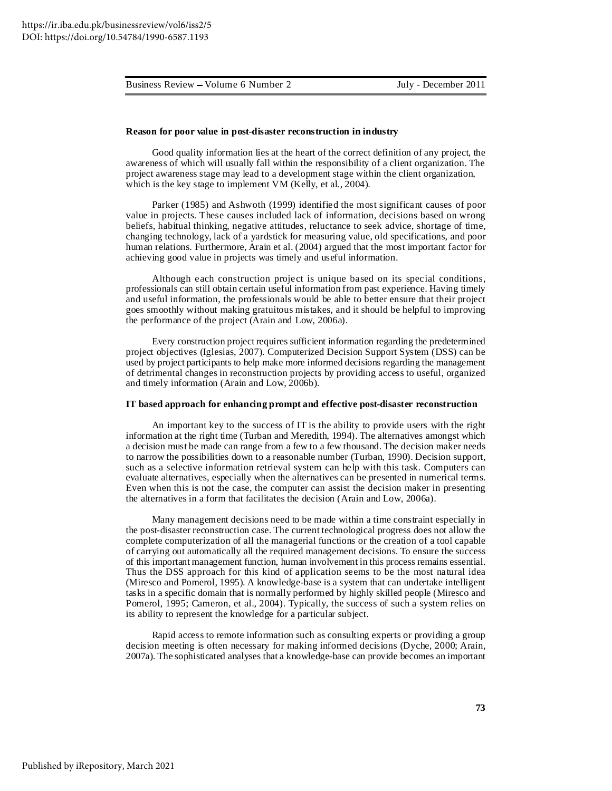#### **Reason for poor value in post-disaster reconstruction in industry**

Good quality information lies at the heart of the correct definition of any project, the awareness of which will usually fall within the responsibility of a client organization. The project awareness stage may lead to a development stage within the client organization, which is the key stage to implement VM (Kelly, et al., 2004).

Parker (1985) and Ashwoth (1999) identified the most significant causes of poor value in projects. These causes included lack of information, decisions based on wrong beliefs, habitual thinking, negative attitudes, reluctance to seek advice, shortage of time, changing technology, lack of a yardstick for measuring value, old specifications, and poor human relations. Furthermore, Arain et al. (2004) argued that the most important factor for achieving good value in projects was timely and useful information.

Although each construction project is unique based on its special conditions, professionals can still obtain certain useful information from past experience. Having timely and useful information, the professionals would be able to better ensure that their project goes smoothly without making gratuitous mistakes, and it should be helpful to improving the performance of the project (Arain and Low, 2006a).

Every construction project requires sufficient information regarding the predetermined project objectives (Iglesias, 2007). Computerized Decision Support System (DSS) can be used by project participants to help make more informed decisions regarding the management of detrimental changes in reconstruction projects by providing access to useful, organized and timely information (Arain and Low, 2006b).

#### **IT based approach for enhancing prompt and effective post-disaster reconstruction**

An important key to the success of IT is the ability to provide users with the right information at the right time (Turban and Meredith, 1994). The alternatives amongst which a decision must be made can range from a few to a few thousand. The decision maker needs to narrow the possibilities down to a reasonable number (Turban, 1990). Decision support, such as a selective information retrieval system can help with this task. Computers can evaluate alternatives, especially when the alternatives can be presented in numerical terms. Even when this is not the case, the computer can assist the decision maker in presenting the alternatives in a form that facilitates the decision (Arain and Low, 2006a).

Many management decisions need to be made within a time constraint especially in the post-disaster reconstruction case. The current technological progress does not allow the complete computerization of all the managerial functions or the creation of a tool capable of carrying out automatically all the required management decisions. To ensure the success of this important management function, human involvement in this process remains essential. Thus the DSS approach for this kind of application seems to be the most natural idea (Miresco and Pomerol, 1995). A knowledge-base is a system that can undertake intelligent tasks in a specific domain that is normally performed by highly skilled people (Miresco and Pomerol, 1995; Cameron, et al., 2004). Typically, the success of such a system relies on its ability to represent the knowledge for a particular subject.

Rapid access to remote information such as consulting experts or providing a group decision meeting is often necessary for making informed decisions (Dyche, 2000; Arain, 2007a). The sophisticated analyses that a knowledge-base can provide becomes an important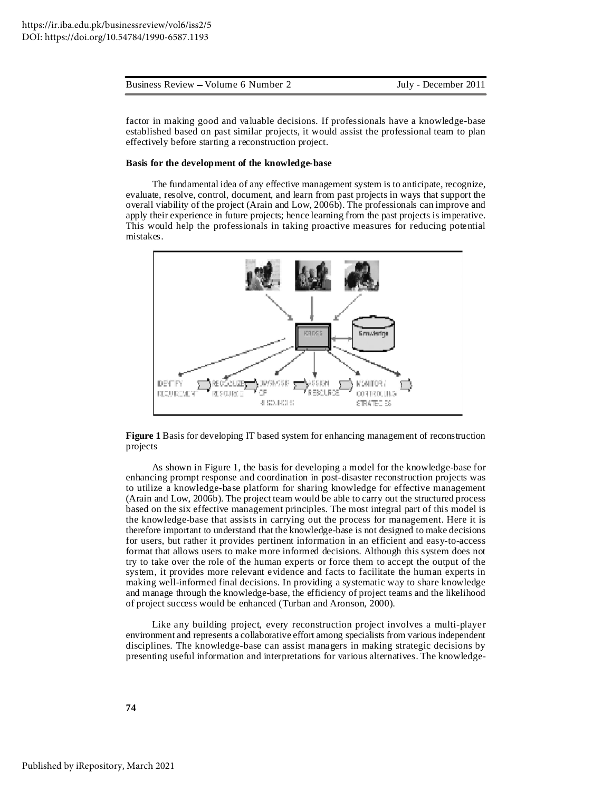| Business Review – Volume 6 Number 2 | July - December 2011 |
|-------------------------------------|----------------------|
|                                     |                      |

factor in making good and valuable decisions. If professionals have a knowledge-base established based on past similar projects, it would assist the professional team to plan effectively before starting a reconstruction project.

#### **Basis for the development of the knowledge-base**

The fundamental idea of any effective management system is to anticipate, recognize, evaluate, resolve, control, document, and learn from past projects in ways that support the overall viability of the project (Arain and Low, 2006b). The professionals can improve and apply their experience in future projects; hence learning from the past projects is imperative. This would help the professionals in taking proactive measures for reducing potential mistakes.



**Figure 1** Basis for developing IT based system for enhancing management of reconstruction projects

As shown in Figure 1, the basis for developing a model for the knowledge-base for enhancing prompt response and coordination in post-disaster reconstruction projects was to utilize a knowledge-base platform for sharing knowledge for effective management (Arain and Low, 2006b). The project team would be able to carry out the structured process based on the six effective management principles. The most integral part of this model is the knowledge-base that assists in carrying out the process for management. Here it is therefore important to understand that the knowledge-base is not designed to make decisions for users, but rather it provides pertinent information in an efficient and easy-to-access format that allows users to make more informed decisions. Although this system does not try to take over the role of the human experts or force them to accept the output of the system, it provides more relevant evidence and facts to facilitate the human experts in making well-informed final decisions. In providing a systematic way to share knowledge and manage through the knowledge-base, the efficiency of project teams and the likelihood of project success would be enhanced (Turban and Aronson, 2000).

Like any building project, every reconstruction project involves a multi-player environment and represents a collaborative effort among specialists from various independent disciplines. The knowledge-base can assist managers in making strategic decisions by presenting useful information and interpretations for various alternatives. The knowledge-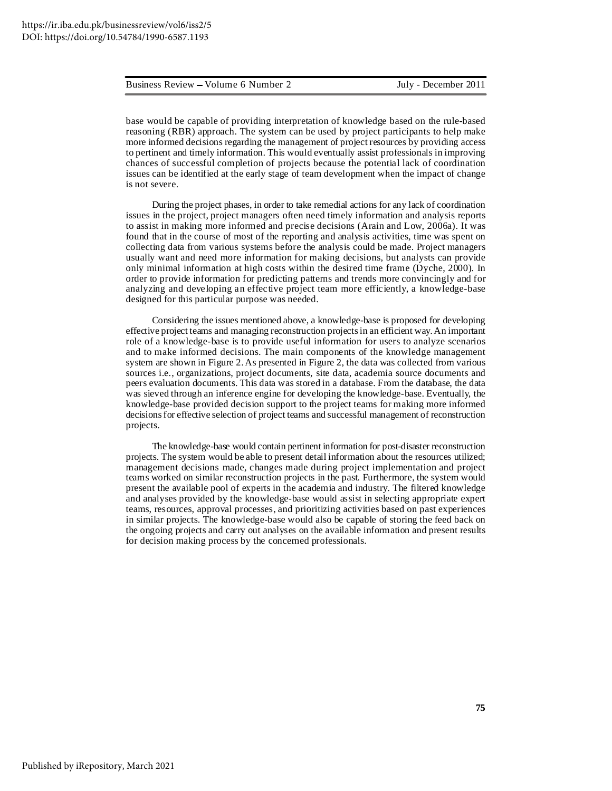base would be capable of providing interpretation of knowledge based on the rule-based reasoning (RBR) approach. The system can be used by project participants to help make more informed decisions regarding the management of project resources by providing access to pertinent and timely information. This would eventually assist professionals in improving chances of successful completion of projects because the potential lack of coordination issues can be identified at the early stage of team development when the impact of change is not severe.

During the project phases, in order to take remedial actions for any lack of coordination issues in the project, project managers often need timely information and analysis reports to assist in making more informed and precise decisions (Arain and Low, 2006a). It was found that in the course of most of the reporting and analysis activities, time was spent on collecting data from various systems before the analysis could be made. Project managers usually want and need more information for making decisions, but analysts can provide only minimal information at high costs within the desired time frame (Dyche, 2000). In order to provide information for predicting patterns and trends more convincingly and for analyzing and developing an effective project team more efficiently, a knowledge-base designed for this particular purpose was needed.

Considering the issues mentioned above, a knowledge-base is proposed for developing effective project teams and managing reconstruction projectsin an efficient way.An important role of a knowledge-base is to provide useful information for users to analyze scenarios and to make informed decisions. The main components of the knowledge management system are shown in Figure 2.As presented in Figure 2, the data was collected from various sources i.e., organizations, project documents, site data, academia source documents and peers evaluation documents. This data was stored in a database. From the database, the data was sieved through an inference engine for developing the knowledge-base. Eventually, the knowledge-base provided decision support to the project teams for making more informed decisions for effective selection of project teams and successful management of reconstruction projects.

The knowledge-base would contain pertinent information for post-disaster reconstruction projects. The system would be able to present detail information about the resources utilized; management decisions made, changes made during project implementation and project teams worked on similar reconstruction projects in the past. Furthermore, the system would present the available pool of experts in the academia and industry. The filtered knowledge and analyses provided by the knowledge-base would assist in selecting appropriate expert teams, resources, approval processes, and prioritizing activities based on past experiences in similar projects. The knowledge-base would also be capable of storing the feed back on the ongoing projects and carry out analyses on the available information and present results for decision making process by the concerned professionals.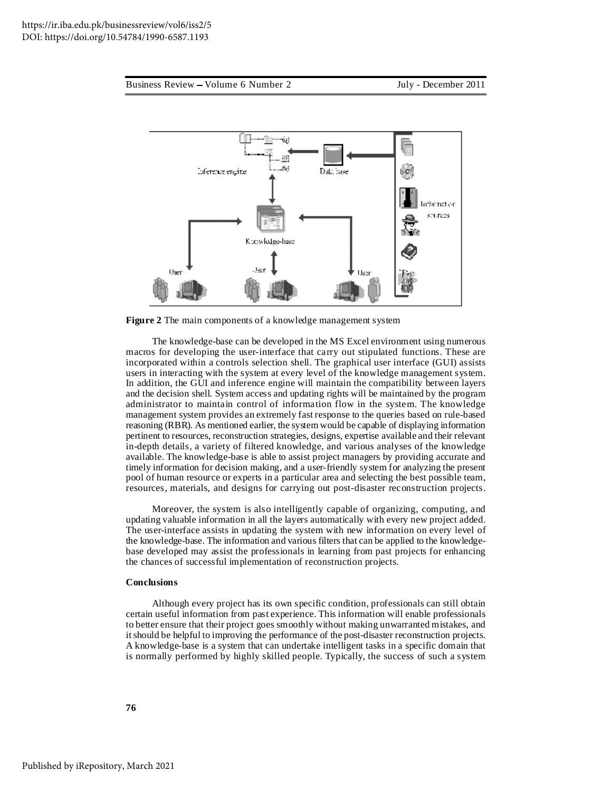

**Figure 2** The main components of a knowledge management system

The knowledge-base can be developed in the MS Excel environment using numerous macros for developing the user-interface that carry out stipulated functions. These are incorporated within a controls selection shell. The graphical user interface (GUI) assists users in interacting with the system at every level of the knowledge management system. In addition, the GUI and inference engine will maintain the compatibility between layers and the decision shell. System access and updating rights will be maintained by the program administrator to maintain control of information flow in the system. The knowledge management system provides an extremely fast response to the queries based on rule-based reasoning (RBR). As mentioned earlier, the systemwould be capable of displaying information pertinent to resources, reconstruction strategies, designs, expertise available and their relevant in-depth details, a variety of filtered knowledge, and various analyses of the knowledge available. The knowledge-base is able to assist project managers by providing accurate and timely information for decision making, and a user-friendly system for analyzing the present pool of human resource or experts in a particular area and selecting the best possible team, resources, materials, and designs for carrying out post-disaster reconstruction projects.

Moreover, the system is also intelligently capable of organizing, computing, and updating valuable information in all the layers automatically with every new project added. The user-interface assists in updating the system with new information on every level of the knowledge-base. The information and various filters that can be applied to the knowledgebase developed may assist the professionals in learning from past projects for enhancing the chances of successful implementation of reconstruction projects.

#### **Conclusions**

Although every project has its own specific condition, professionals can still obtain certain useful information from past experience. This information will enable professionals to better ensure that their project goes smoothly without making unwarranted mistakes, and itshould be helpful to improving the performance of the post-disaster reconstruction projects. A knowledge-base is a system that can undertake intelligent tasks in a specific domain that is normally performed by highly skilled people. Typically, the success of such a system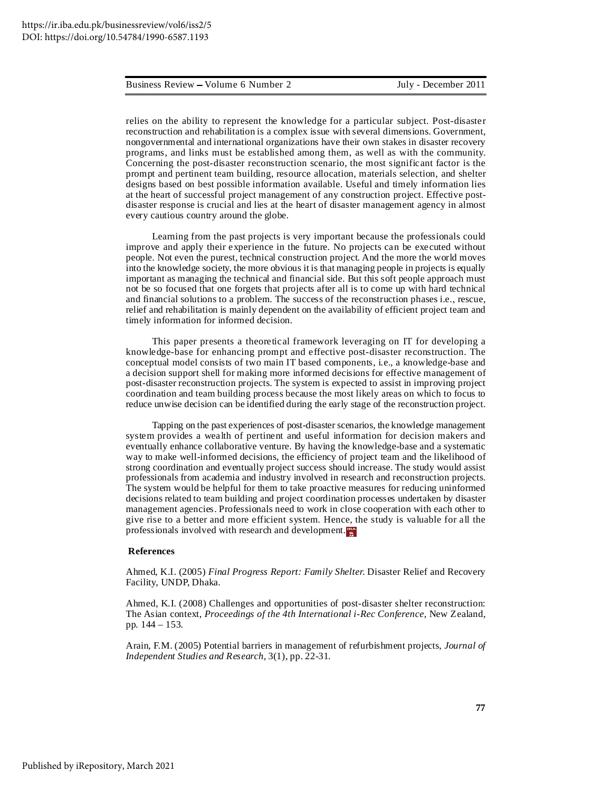relies on the ability to represent the knowledge for a particular subject. Post-disaster reconstruction and rehabilitation is a complex issue with several dimensions. Government, nongovernmental and international organizations have their own stakes in disaster recovery programs, and links must be established among them, as well as with the community. Concerning the post-disaster reconstruction scenario, the most significant factor is the prompt and pertinent team building, resource allocation, materials selection, and shelter designs based on best possible information available. Useful and timely information lies at the heart of successful project management of any construction project. Effective postdisaster response is crucial and lies at the heart of disaster management agency in almost every cautious country around the globe.

Learning from the past projects is very important because the professionals could improve and apply their experience in the future. No projects can be executed without people. Not even the purest, technical construction project. And the more the world moves into the knowledge society, the more obvious it is that managing people in projects is equally important as managing the technical and financial side. But this soft people approach must not be so focused that one forgets that projects after all is to come up with hard technical and financial solutions to a problem. The success of the reconstruction phases i.e., rescue, relief and rehabilitation is mainly dependent on the availability of efficient project team and timely information for informed decision.

This paper presents a theoretical framework leveraging on IT for developing a knowledge-base for enhancing prompt and effective post-disaster reconstruction. The conceptual model consists of two main IT based components, i.e., a knowledge-base and a decision support shell for making more informed decisions for effective management of post-disaster reconstruction projects. The system is expected to assist in improving project coordination and team building process because the most likely areas on which to focus to reduce unwise decision can be identified during the early stage of the reconstruction project.

Tapping on the past experiences of post-disaster scenarios, the knowledge management system provides a wealth of pertinent and useful information for decision makers and eventually enhance collaborative venture. By having the knowledge-base and a systematic way to make well-informed decisions, the efficiency of project team and the likelihood of strong coordination and eventually project success should increase. The study would assist professionals from academia and industry involved in research and reconstruction projects. The system would be helpful for them to take proactive measures for reducing uninformed decisions related to team building and project coordination processes undertaken by disaster management agencies. Professionals need to work in close cooperation with each other to give rise to a better and more efficient system. Hence, the study is valuable for all the professionals involved with research and development.

#### **References**

Ahmed, K.I. (2005) *Final Progress Report: Family Shelter.* Disaster Relief and Recovery Facility, UNDP, Dhaka.

Ahmed, K.I. (2008) Challenges and opportunities of post-disaster shelter reconstruction: The Asian context, *Proceedings of the 4th International i-Rec Conference,* New Zealand, pp. 144 – 153.

Arain, F.M. (2005) Potential barriers in management of refurbishment projects, *Journal of Independent Studies and Research,* 3(1), pp. 22-31.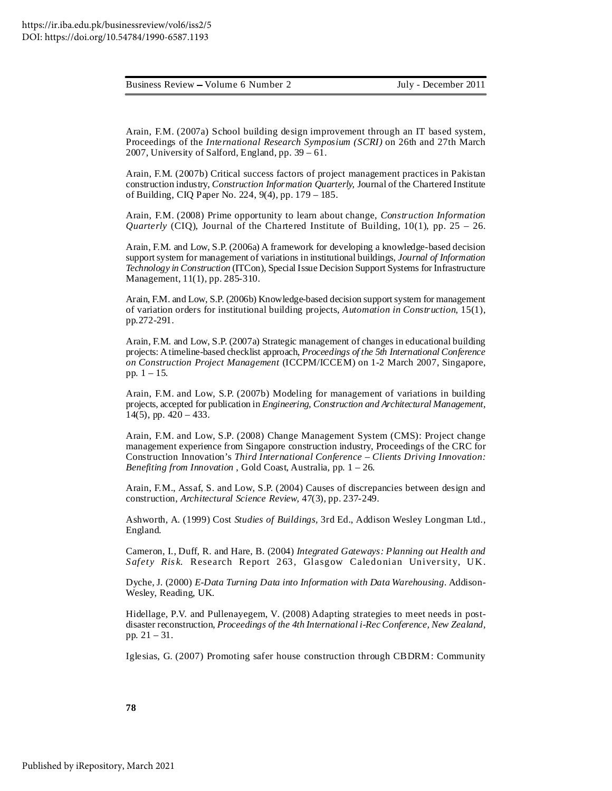| Business Review – Volume 6 Number 2 |
|-------------------------------------|
|-------------------------------------|

Arain, F.M. (2007a) School building design improvement through an IT based system, Proceedings of the *International Research Symposium (SCRI)* on 26th and 27th March 2007, University of Salford, England, pp. 39 – 61.

Arain, F.M. (2007b) Critical success factors of project management practices in Pakistan construction industry, *Construction Information Quarterly,* Journal of the Chartered Institute of Building, CIQ Paper No. 224, 9(4), pp. 179 – 185.

Arain, F.M. (2008) Prime opportunity to learn about change, *Construction Information Quarterly* (CIQ), Journal of the Chartered Institute of Building, 10(1), pp. 25 – 26.

Arain, F.M. and Low, S.P. (2006a) A framework for developing a knowledge-based decision supportsystem for management of variations in institutional buildings, *Journal of Information Technology in Construction* (ITCon), Special Issue Decision Support Systems for Infrastructure Management, 11(1), pp. 285-310.

Arain, F.M. and Low, S.P. (2006b) Knowledge-based decision supportsystem for management of variation orders for institutional building projects, *Automation in Construction,* 15(1), pp.272-291.

Arain, F.M. and Low, S.P. (2007a) Strategic management of changes in educational building projects: Atimeline-based checklist approach, *Proceedings of the 5th International Conference on Construction Project Management* (ICCPM/ICCEM) on 1-2 March 2007, Singapore, pp.  $1 - 15$ .

Arain, F.M. and Low, S.P. (2007b) Modeling for management of variations in building projects, accepted for publication in *Engineering, Construction and Architectural Management,*  $14(5)$ , pp.  $420 - 433$ .

Arain, F.M. and Low, S.P. (2008) Change Management System (CMS): Project change management experience from Singapore construction industry, Proceedings of the CRC for Construction Innovation's *Third International Conference – Clients Driving Innovation: Benefiting from Innovation* , Gold Coast, Australia, pp. 1 – 26.

Arain, F.M., Assaf, S. and Low, S.P. (2004) Causes of discrepancies between design and construction, *Architectural Science Review,* 47(3), pp. 237-249.

Ashworth, A. (1999) Cost *Studies of Buildings,* 3rd Ed., Addison Wesley Longman Ltd., England.

Cameron, I., Duff, R. and Hare, B. (2004) *Integrated Gateways: Planning out Health and Safety Ris k.* Research Report 263, Glasgow Caledonian University, UK.

Dyche, J. (2000) *E-Data Turning Data into Information with Data Warehousing.* Addison-Wesley, Reading, UK.

Hidellage, P.V. and Pullenayegem, V. (2008) Adapting strategies to meet needs in postdisaster reconstruction, *Proceedings of the 4th International i-Rec Conference, New Zealand,* pp. 21 – 31.

Iglesias, G. (2007) Promoting safer house construction through CBDRM: Community